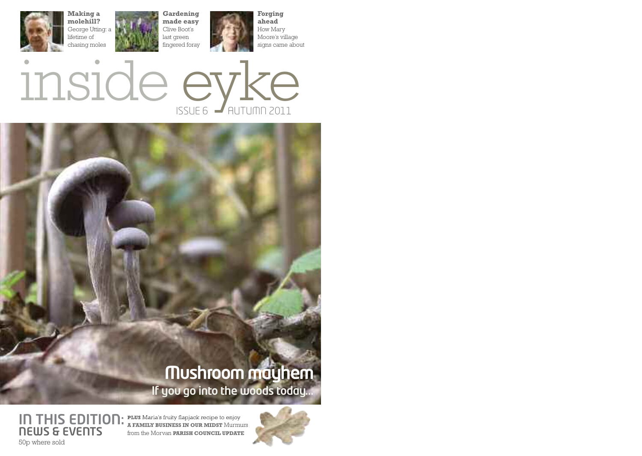



## **If you go into the woods today... Mushroom mayhem**

**IN THIS EDITION:** PLUS Maria's fruity flapjack recipe to enjoy **NEWS & EVENTS** 50p where sold

**A FAMILY BUSINESS IN OUR MIDST** Murmurs from the Morvan **PARISH COUNCIL UPDATE**

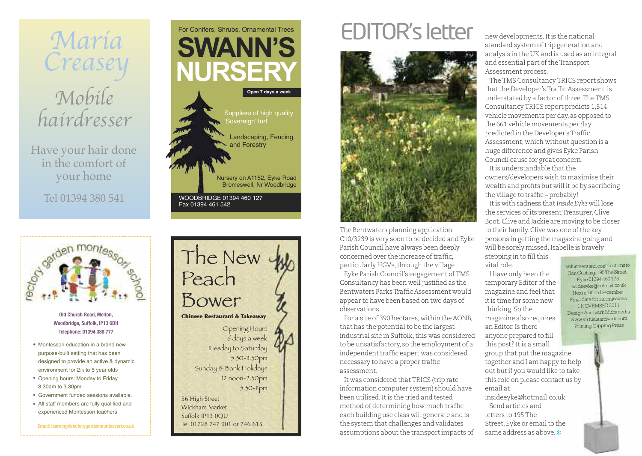

Have your hair done in the comfort of your home

Tel 01394 380 541



- **Woodbridge, Suffolk, IP13 6DH Telephone: 01394 388 777**
- Montessori education in a brand new purpose-built setting that has been designed to provide an active & dynamic environment for 21/2 to 5 year olds
- Opening hours: Monday to Friday 8.30am to 3.30pm
- Government funded sessions available. •
- All staff members are fully qualified and experienced Montessori teachers

**Email: [learning@rectorygardenmontessori.co.uk](mailto:learning@rectorygardenmontessori.co.uk)**





## EDITOR's letter



The Bentwaters planning application C10/3239 is very soon to be decided and Eyke Parish Council have always been deeply concerned over the increase of traffic. particularly HGVs, through the village

Eyke Parish Council's engagement ofTMS Consultancy has been well justified as the Bentwaters ParksTraffic Assessment would appear to have been based on two days of observations.

For a site of 390 hectares, within the AONB that has the potential to be the largest industrial site in Suffolk, this was considered to be unsatisfactory, so the employment of a independent traffic expert was considered necessary to have a proper traffic assessment.

It was considered thatTRICS (trip rate information computer system) should have been utilised.Itis the tried and tested method of determining how much traffic each building use class will generate and is the system that challenges and validates assumptions about the transport impacts of new developments.Itis the national standard system of trip generation and analysis in the UK and is used as an integral and essential part of the Transport Assessment process.

TheTMS ConsultancyTRICS report shows that the Developer's Traffic Assessment is understated by a factor of three. The TMS ConsultancyTRICS report predicts 1,814 vehicle movements per day, as opposed to the 661 vehicle movements per day predicted in the Developer's Traffic Assessment, which without question is a huge difference and gives Eyke Parish Council cause for great concern. It is understandable that the

owners/developers wish to maximise their wealth and profits but will it be by sacrificing the village to traffic – probably!

Itis with sadness that*Inside Eyke* will lose the services of its present Treasurer, Clive Boot.Clive and Jackie are moving to be closer to their family. Clive was one of the key persons in getting the magazine going and will be sorely missed. Isabelle is brayely

stepping in to fill this vital role.

I have only been the temporary Editor of the magazine and feel that itis time for some new thinking. So the magazine also requires an Editor.Is there anyone prepared to fill this post? Itis a small

group that put the magazine together and I am happy to help out butif you would like to take this role on please contact us by email at

insideeyke@hotmail.co.uk Send articles and letters to 195The Street, Eyke or email to the same address as above. **❉**

Volunteersandcontributions to Ron Cushing, 195The Street Eyke01394460775 [insideeyke@hotmail.co.uk](mailto:insideeyke@hotmail.co.uk) Next edition December Final date for submissions 1 NOVEMBER 201 Design Aardvark Multimedia www.virtualaardvark.com Printing Gipping Press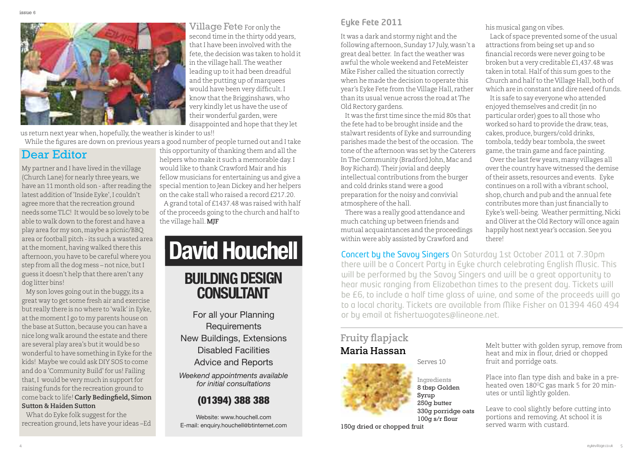

**Village Fete** For only the second time in the thirty odd years. thatI have been involved with the fete, the decision was taken to hold it in the village hall.The weather leading up to it had been dreadful and the putting up of marquees would have been very difficult.I know that the Brigginshaws, who very kindly let us have the use of their wonderful garden, were disappointed and hope that they let

us return next year when, hopefully, the weather is kinder to us!! While the figures are down on previous years a good number of people turned out and Itake

#### Dear Editor

My partner and I have lived in the village (Church Lane) for nearly three years, we have an 11 month old son - after reading the latest addition of'Inside Eyke',I couldn't agree more that the recreation ground needs someTLC! It would be so lovely to be able to walk down to the forest and have a play area for my son,maybe a picnic/BBQ area or football pitch - its such a wasted area at the moment, having walked there this afternoon, you have to be careful where you step from all the dog mess – not nice, but I guess it doesn't help that there aren't any dog litter bins!

My son loves going out in the buggy, its a great way to get some fresh air and exercise but really there is no where to 'walk' in Eyke, at the moment I go to my parents house on the base at Sutton, because you can have a nice long walk around the estate and there are several play area's butit would be so wonderful to have something in Eyke for the kids! Maybe we could ask DIY SOS to come and do a 'Community Build'for us! Failing that, I would be very much in support for raising funds for the recreation ground to come back to life! **Carly Bedingfield, Simon Sutton & Haiden Sutton**

What do Eyke folk suggest for the recreation ground,lets have your ideas –Ed

this opportunity of thanking them and all the helpers who make it such a memorable day.I would like to thank Crawford Mair and his fellow musicians for entertaining us and give a special mention to Jean Dickey and her helpers on the cake stall who raised a record £217.20. A grand total of £1437.48 was raised with half of the proceeds going to the church and half to the village hall.**MJF**

## **David Houchell BUILDING DESIGN CONSULTANT**

For all your Planning **Requirements** New Buildings, Extensions Disabled Facilities Advice and Reports

*Weekend appointments available for initial consultations*

#### (01394) 388 388

Website: www.houchell.com E-mail: enquiry.houchell@btinternet.com

#### **Eyke Fete 2011**

It was a dark and stormy night and the following afternoon, Sunday 17 July, wasn't a great deal better. In factthe weather was awful the whole weekend and FeteMeister Mike Fisher called the situation correctly when he made the decision to operate this year's Eyke Fete from the Village Hall, rather than its usual venue across the road atThe Old Rectory gardens.

It was the first time since the mid 80s that the fete had to be brought inside and the stalwart residents of Eyke and surrounding parishes made the best of the occasion. The tone ofthe afternoon was set by the Caterers In The Community (Bradford John, Mac and Boy Richard).Their jovial and deeply intellectual contributions from the burger and cold drinks stand were a good preparation for the noisy and convivial atmosphere of the hall.

There was a really good attendance and much catching up between friends and mutual acquaintances and the proceedings within were ably assisted by Crawford and

his musical gang on vibes.

Lack of space prevented some of the usual attractions from being set up and so financial records were never going to be broken but a very creditable £1,437.48 was taken in total. Half of this sum goes to the Church and half to the Village Hall, both of which are in constant and dire need of funds.

Itis safe to say everyone who attended enjoyed themselves and credit (in no particular order) goes to all those who worked so hard to provide the draw, teas, cakes, produce, burgers/cold drinks, tombola, teddy bear tombola, the sweet game, the train game and face painting.

Over the last few years, many villages all over the country have witnessed the demise oftheir assets, resources and events. Eyke continues on a roll with a vibrant school, shop, church and pub and the annual fete contributes more than just financially to Eyke's well-being. Weather permitting,Nicki and Oliver at the Old Rectory will once again happily host next year's occasion. See you there!

Concert by the Savoy Singers On Saturday 1st October 2011 at 7.30pm there will be a Concert Party in Eyke church celebrating English Music. This will be performed by the Savoy Singers and will be a great opportunity to hear music ranging from Elizabethan times to the present day. Tickets will be £6, to include a half time glass of wine, and some of the proceeds will go to a local charity. Tickets are available from Mike Fisher on 01394 460 494 or by email at fishertwogates@lineone.net.

#### **Fruity flapjack Maria Hassan**



8 tbsp Golden Syrup 250g butter 330g porridge oats 100g s/r flour

Melt butter with golden syrup, remove from heat and mix in flour, dried or chopped fruit and porridge oats.

Place into flan type dish and bake in a preheated oven  $180^{\circ}$ C gas mark 5 for 20 minutes or until lightly golden.

Leave to cool slightly before cutting into portions and removing. At school it is served warm with custard.

150g dried or chopped fruit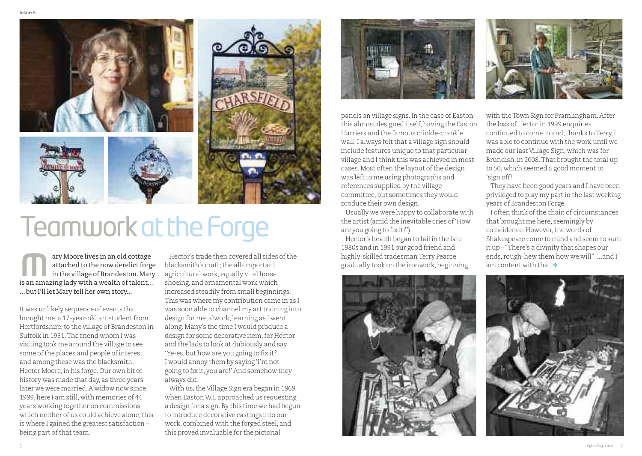

## TeamworkattheForge

ary Moore lives in an old cottage attached to the now derelict forge in the village of Brandeston.Mary is an amazing lady with a wealth of talent... …butI'll let Mary tell her own story... any Moore lives in an old cottage Hector's trade then covered all sides of the highly-skilled tradesman Terry Pearce ends, rough-hew them lattached to the now derelict forge blacksmith's craft; the all-important in the vil

It was unlikely sequence of events that brought me, a 17-year-old art student from Hertfordshire, to the village of Brandeston in Suffolk in 1951.The friend whom I was visiting took me around the village to see some of the places and people of interest and among these was the blacksmith, Hector Moore, in his forge. Our own bit of history was made that day, as three years later we were married.A widow now since 1999, here I am still, with memories of 44 years working together on commissions which neither of us could achieve alone, this is where I gained the greatest satisfaction – being part of that team.

Hector's trade then covered all sides of the blacksmith's craft; the all-important agricultural work, equally vital horse shoeing, and ornamental work which increased steadily from small beginnings. This was where my contribution came in as I was soon able to channel my art training into design for metalwork, learning as I went along.Many's the time I would produce a design for some decorative item, for Hector and the lads to look at dubiously and say 'Ye-es,but how are you going to fix it?' I would annoy them by saying'I'm not going to fix it, you are!' And somehow they always did.

With us, the Village Sign era began in 1969 when Easton W.I. approached us requesting a design for a sign.By this time we had begun to introduce decorative castings into our work, combined with the forged steel, and this proved invaluable for the pictorial



panels on village signs.In the case of Easton this almost designed itself, having the Easton Harriers and the famous crinkle-crankle wall. I always felt that a village sign should include features unique to that particular village and Ithink this was achieved in most cases. Most often the layout of the design was left to me using photographs and references supplied by the village committee,but sometimes they would produce their own design.

Usually we were happy to collaborate with the artist(amid the inevitable cries of'How are you going to fix it?')

Hector's health began to fail in the late 1980s and in 1991 our good friend and highly-skilled tradesmanTerry Pearce gradually took on the ironwork,beginning





with theTown Sign for Framlingham.After the loss of Hector in 1999 enquiries continued to come in and,thanks toTerry,I was able to continue with the work until we made our last Village Sign, which was for Brundish, in 2008. That brought the total up to 50, which seemed a good moment to 'sign off!'

They have been good years and I have been privileged to play my partin the last working years of Brandeston Forge.

I often think of the chain of circumstances that brought me here, seemingly by coincidence. However, the words of Shakespeare come to mind and seem to sum it up – "There's a divinity that shapes our ends, rough-hew them how we will"….and I

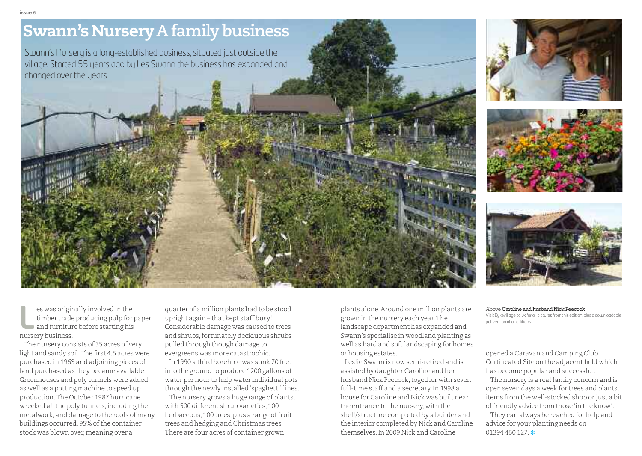## **Swann's Nursery** A family business

Swann's Nursery is a long-established business, situated just outside the village. Started 55 years ago by Les Swann the business has expanded and changed over the years







es was originally involved in the timber trade producing pulp for paper and furniture before starting his nursery business.

The nursery consists of 35 acres of very light and sandy soil.The first 4.5 acres were purchased in 1963 and adjoining pieces of land purchased as they became available. Greenhouses and poly tunnels were added, as well as a potting machine to speed up production.The October 1987 hurricane wrecked all the poly tunnels, including the metalwork, and damage to the roofs of many buildings occurred. 95% of the container stock was blown over, meaning over a

quarter of a million plants had to be stood upright again – that kept staff busy! Considerable damage was caused to trees and shrubs,fortunately deciduous shrubs pulled through though damage to evergreens was more catastrophic.

In 1990 a third borehole was sunk 70 feet into the ground to produce 1200 gallons of water per hour to help water individual pots through the newly installed'spaghetti' lines.

The nursery grows a huge range of plants, with 500 different shrub varieties, 100 herbaceous, 100 trees, plus a range of fruit trees and hedging and Christmas trees. There are four acres of container grown

plants alone.Around one million plants are grown in the nursery each year.The landscape department has expanded and Swann's specialise in woodland planting as well as hard and soft landscaping for homes or housing estates. Election and furniture before starting his and furniture before starting his and scheme and husband Nick Peecock<br>
Land Scape department has expanded and<br>
and furniture before starting his considerable damage was caused to

> Leslie Swann is now semi-retired and is assisted by daughter Caroline and her husband Nick Peecock, together with seven full-time staff and a secretary. In 1998 a house for Caroline and Nick was built near the entrance to the nursery, with the shell/structure completed by a builder and the interior completed by Nick and Caroline themselves.In 2009 Nick and Caroline

Visit [Eykevillage.co.uk](http://www.eykevillage.co.uk) for all pictures from this edition, plus a downloadable pdf version of all editions

opened a Caravan and Camping Club Certificated Site on the adjacent field which has become popular and successful.

The nursery is a real family concern and is open seven days a week for trees and plants, items from the well-stocked shop or just a bit offriendly advice from those'in the know'.

They can always be reached for help and advice for your planting needs on  $01394460127$   $\cdot\cdot\cdot$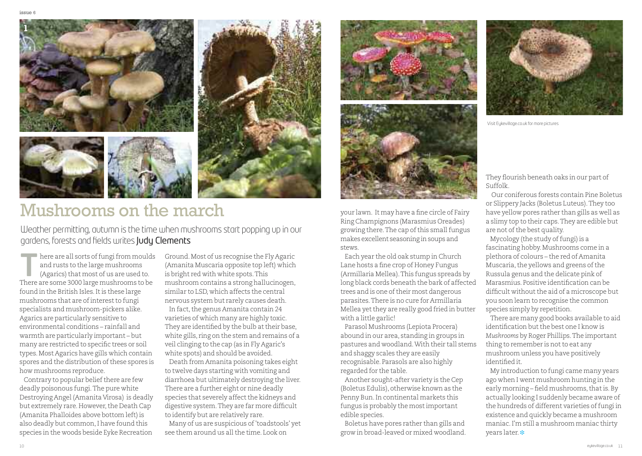

### Mushrooms on the march your lawn. It may have a fine circle of Fairy

Weather permitting, autumn is the time when mushrooms start popping up in our gardens, forests and fields writes Judy Clements

here are all sorts of fungi from moulds<br>and rusts to the large mushrooms<br>(Agarics) that most of us are used to.<br>There are agreed 2000 large mushrooms to be and rusts to the large mushrooms (Agarics) that most of us are used to. There are some 3000 large mushrooms to be found in the British Isles. It is these large mushrooms that are of interest to fungi specialists and mushroom-pickers alike. Agarics are particularly sensitive to environmental conditions – rainfall and warmth are particularly important – but many are restricted to specific trees or soil types.Most Agarics have gills which contain spores and the distribution of these spores is how mushrooms reproduce.

Contrary to popular belief there are few deadly poisonous fungi.The pure white Destroying Angel (Amanita Virosa) is deadly but extremely rare. However, the Death Cap (Amanita Phalloides above bottom left) is also deadly but common,I have found this species in the woods beside Eyke Recreation

Ground.Most of us recognise the Fly Agaric (Amanita Muscaria opposite top left) which is bright red with white spots.This mushroom contains a strong hallucinogen, similar to LSD, which affects the central nervous system but rarely causes death. In fact, the genus Amanita contain 24 varieties of which many are highly toxic. They are identified by the bulb at their base, white gills, ring on the stem and remains of a veil clinging to the cap (as in Fly Agaric's white spots) and should be avoided.

Death fromAmanita poisoning takes eight to twelve days starting with vomiting and diarrhoea but ultimately destroying the liver. There are a further eight or nine deadly species that severely affect the kidneys and digestive system.They are far more difficult to identify but are relatively rare.

Many of us are suspicious of'toadstools' yet see them around us all the time. Look on





Ring Champignons (Marasmius Oreades) growing there. The cap of this small fungus makes excellent seasoning insoups and stews.

Each year the old oak stump in Church Lane hosts a fine crop of Honey Fungus (Armillaria Mellea).This fungus spreads by long black cords beneath the bark of affected trees and is one of their most dangerous parasites.There is no cure for Armillaria Mellea yetthey are really good fried in butter with a little garlic!

Parasol Mushrooms (Lepiota Procera) abound in our area, standing in groups in pastures and woodland.With their tall stems and shaggy scales they are easily recognisable. Parasols are also highly regarded for the table.

Another sought-after variety is the Cep (Boletus Edulis), otherwise known as the Penny Bun.In continental markets this fungus is probably the mostimportant edible species.

Boletus have pores rather than gills and grow in broad-leaved or mixed woodland.



Visit [Eykevillage.co.uk](http://www.eykevillage.co.uk) for more pictures

They flourish beneath oaks in our part of Suffolk.

Our coniferous forests contain Pine Boletus or Slippery Jacks (Boletus Luteus).They too have yellow pores rather than gills as well as a slimy top to their caps.They are edible but are not of the best quality.

Mycology (the study of fungi) is a fascinating hobby.Mushrooms come in a plethora of colours – the red of Amanita Muscaria, the yellows and greens of the Russula genus and the delicate pink of Marasmius. Positive identification can be difficult without the aid of a microscope but you soon learn to recognise the common species simply by repetition.

There are many good books available to aid identification but the best one I know is *Mushrooms* by Roger Phillips.The important thing to remember is not to eat any mushroom unless you have positively identified it.

My introduction to fungi came many years ago when I went mushroom hunting in the early morning – field mushrooms, that is. By actually looking I suddenly became aware of the hundreds of different varieties of fungi in existence and quickly became a mushroom maniac.I'm still a mushroom maniac thirty years later. **❉**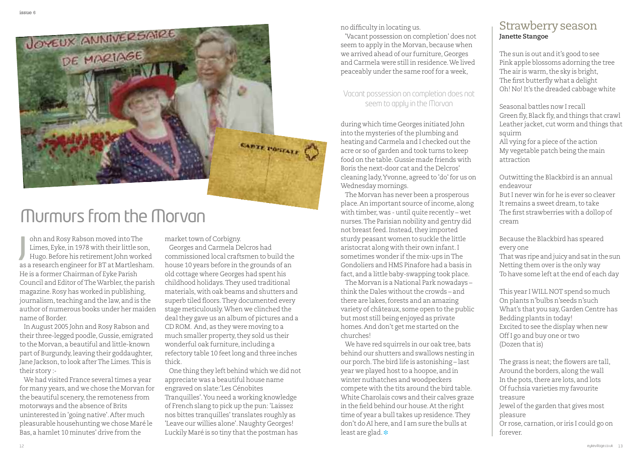

## Murmurs fromthe Morvan

ohn and Rosy Rabson moved intoThe Limes, Eyke,in 1978 with their little son, Hugo. Before his retirement John worked as a research engineer for BT at Martlesham. He is a former Chairman of Eyke Parish Council and Editor of The Warbler, the parish magazine.Rosy has worked in publishing, journalism, teaching and the law, and is the author of numerous books under her maiden name of Border. **J**

In August 2005 John and Rosy Rabson and their three-legged poodle, Gussie, emigrated to the Morvan, a beautiful and little-known part of Burgundy,leaving their goddaughter, Jane Jackson, to look after The Limes. This is their story :-

We had visited France several times a year for many years, and we chose the Morvan for the beautiful scenery, the remoteness from motorways and the absence of Brits uninterested in 'going native'.After much pleasurable househunting we chose Maré le Bas, a hamlet 10 minutes' drive from the

market town of Corbigny.

Georges and Carmela Delcros had commissioned local craftsmen to build the house 10 years before in the grounds of an old cottage where Georges had spent his childhood holidays.They used traditional materials, with oak beams and shutters and superb tiled floors.They documented every stage meticulously.When we clinched the deal they gave us an album of pictures and a CD ROM. And, as they were moving to a much smaller property, they sold us their wonderful oak furniture, including a refectory table 10 feetlong and three inches thick.

One thing they left behind which we did not appreciate was a beautiful house name engraved on slate:'Les Cénobites Tranquilles'.You need a working knowledge of French slang to pick up the pun: 'Laissez nos bittes tranquilles'translates roughly as 'Leave our willies alone'. Naughty Georges! Luckily Maré is so tiny that the postman has

no difficulty in locating us.

'Vacant possession on completion' does not seem to apply in the Morvan, because when we arrived ahead of our furniture, Georges and Carmela were still in residence.We lived peaceably under the same roof for a week,

#### Vacant possession on completion does not seem to apply in the Morvan

during which time Georges initiated John into the mysteries of the plumbing and heating and Carmela and I checked out the acre or so of garden and took turns to keep food on the table. Gussie made friends with Boris the next-door cat and the Delcros' cleaning lady,Yvonne, agreed to 'do'for us on Wednesday mornings.

The Morvan has never been a prosperous place.An important source ofincome, along with timber, was - until quite recently – wet nurses.The Parisian nobility and gentry did not breast feed. Instead, they imported sturdy peasant women to suckle the little aristocrat along with their own infant.I sometimes wonder if the mix-ups in The Gondoliers and HMS Pinafore had a basis in fact, and a little baby-swapping took place.

The Morvan is a National Park nowadays – think the Dales without the crowds – and there are lakes, forests and an amazing variety of châteaux, some open to the public but most still being enjoyed as private homes.And don't get me started on the churches!

We have red squirrels in our oak tree, bats behind our shutters and swallows nesting in our porch.The bird life is astonishing – last year we played host to a hoopoe, and in winter nuthatches and woodpeckers compete with the tits around the bird table. White Charolais cows and their calves graze in the field behind our house.Atthe right time of year a bull takes up residence. They don't do AI here, and I am sure the bulls at least are glad. **❉**

#### Strawberry season **Janette Stangoe**

The sun is out and it's good to see Pink apple blossoms adorning the tree The air is warm, the sky is bright, The first butterfly what a delight Oh! No! It's the dreaded cabbage white

Seasonal battles now I recall Green fly,Black fly, and things that crawl Leather jacket, cut worm and things that squirm All vying for a piece of the action My vegetable patch being the main attraction

Outwitting the Blackbird is an annual endeavour ButI never win for he is ever so cleaver It remains a sweet dream, to take The first strawberries with a dollop of

Because the Blackbird has speared every one

cream

That was ripe and juicy and satinthe sun Netting them over is the only way To have some left at the end of each day

This year IWILL NOT spend so much On plants n'bulbs n'seeds n'such What's that you say, Garden Centre has Bedding plants in today! Excited to see the display when new OffI go and buy one or two (Dozen thatis)

The grass is neat; the flowers are tall, Around the borders, along the wall In the pots, there are lots, and lots Offuchsia varieties my favourite treasure Jewel of the garden that gives most pleasure

Or rose, carnation, or iris I could go on forever.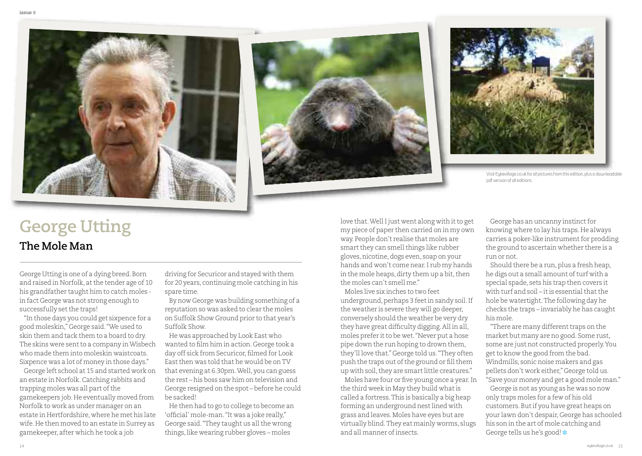





Visit [Eykevillage.co.uk](http://www.eykevillage.co.uk) for all pictures from this edition, plus a downloadable pdf version of all editions

## **George Utting**

**The Mole Man**

George Utting is one of a dying breed.Born and raised in Norfolk, at the tender age of 10 his grandfather taught him to catch moles in fact George was not strong enough to successfully set the traps!

"In those days you could get sixpence for a good moleskin," George said."We used to skin them and tack them to a board to dry. The skins were sent to a company in Wisbech who made them into moleskin waistcoats. Sixpence was a lot of money in those days."

George left school at 15 and started work on an estate in Norfolk.Catching rabbits and trapping moles was all part of the gamekeepers job.He eventually moved from Norfolk to work as under manager on an estate in Hertfordshire, where he met his late wife.He then moved to an estate in Surrey as gamekeeper, after which he took a job

driving for Securicor and stayed with them for 20 years, continuing mole catching in his spare time.

By now George was building something of a reputation so was asked to clear the moles on Suffolk Show Ground prior to that year's Suffolk Show.

He was approached by Look East who wanted to film him in action. George took a day off sick from Securicor, filmed for Look East then was told that he would be on TV that evening at 6.30pm.Well, you can guess the rest – his boss saw him on television and George resigned on the spot – before he could be sacked!

He then had to go to college to become an 'official' mole-man."It was a joke really," George said. "They taught us all the wrong things,like wearing rubber gloves – moles

love that. Well I just went along with it to get my piece of paper then carried on in my own way. People don't realise that moles are smart they can smell things like rubber gloves,nicotine,dogs even, soap on your hands and won't come near.I rub my hands in the mole heaps, dirty them up a bit, then the moles can't smell me."

Moles live six inches to two feet underground, perhaps 3 feet in sandy soil. If the weather is severe they will go deeper, conversely should the weather be very dry they have great difficulty digging.All in all, moles prefer it to be wet. "Never put a hose pipe down the run hoping to drown them, they'll love that." George told us."They often push the traps out of the ground or fill them up with soil, they are smart little creatures."

Moles have four or five young once a year.In the third week in May they build whatis called a fortress.This is basically a big heap forming an underground nestlined with grass and leaves.Moles have eyes but are virtually blind.They eat mainly worms, slugs and all manner ofinsects.

George has an uncanny instinct for knowing where to lay his traps.He always carries a poker-like instrument for prodding the ground to ascertain whether there is a run or not.

Should there be a run, plus a fresh heap, he digs out a small amount of turf with a special spade, sets his trap then covers it with turf and soil – it is essential that the hole be watertight.The following day he checks the traps – invariably he has caught his mole.

"There are many different traps on the market but many are no good. Some rust, some are just not constructed properly.You get to know the good from the bad. Windmills, sonic noise makers and gas pellets don't work either," George told us. "Save your money and get a good mole man." George is not as young as he was so now only traps moles for a few of his old customers.Butif you have great heaps on your lawn don't despair, George has schooled

his son in the art of mole catching and

George tells us he's good! **❉**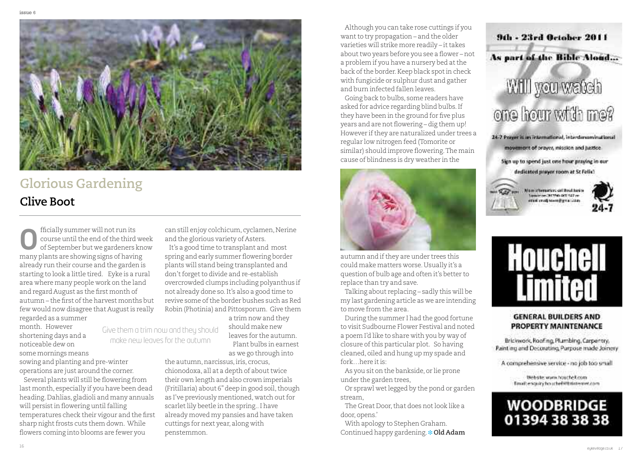

Give them a trim now and they should make new leaves forthe autumn

#### **Glorious Gardening Clive Boot**

fficially summer will not run its course until the end of the third week of September but we gardeners know many plants are showing signs of having **O**already run their course and the garden is starting to look a little tired. Eyke is a rural area where many people work on the land and regard August as the first month of autumn – the first of the harvest months but few would now disagree that Augustis really regarded as a summer

month. However shortening days and a noticeable dew on

some mornings means sowing and planting and pre-winter operations are just around the corner.

Several plants will still be flowering from last month, especially if you have been dead heading.Dahlias, gladioli and many annuals will persist in flowering until falling temperatures check their vigour and the first sharp night frosts cuts them down. While flowers coming into blooms are fewer you

can still enjoy colchicum, cyclamen, Nerine and the glorious variety of Asters.

It's a good time to transplant and most spring and early summer flowering border plants will stand being transplanted and don't forget to divide and re-establish overcrowded clumps including polyanthus if not already done so.It's also a good time to revive some of the border bushes such as Red Robin (Photinia) and Pittosporum. Give them

a trim now and they should make new leaves for the autumn. Plant bulbs in earnest

as we go through into

the autumn, narcissus, iris, crocus, chionodoxa, all at a depth of about twice their own length and also crown imperials (Fritillaria) about 6" deep in good soil, though as I've previously mentioned, watch out for scarlet lily beetle in the spring.. I have already moved my pansies and have taken cuttings for next year, along with penstemmon.

Although you can take rose cuttings if you want to try propagation – and the older varieties will strike more readily – it takes about two years before you see a flower – not a problem if you have a nursery bed atthe back of the border. Keep black spot in check with fungicide or sulphur dust and gather and burn infected fallen leaves.

Going back to bulbs, some readers have asked for advice regarding blind bulbs.If they have been in the ground for five plus years and are not flowering – dig them up! However if they are naturalized under trees a regular low nitrogen feed (Tomorite or similar) should improve flowering.The main cause of blindness is dry weather in the



autumn and if they are under trees this could make matters worse.Usually it's a question of bulb age and often it's better to replace than try and save.

Talking about replacing – sadly this will be my last gardening article as we are intending to move from the area.

During the summer I had the good fortune to visit Sudbourne Flower Festival and noted a poem I'd like to share with you by way of closure ofthis particular plot. So having cleaned, oiled and hung up my spade and fork…here itis:

As you sit on the bankside, or lie prone under the garden trees,

Or sprawl wetlegged by the pond or garden stream,

The Great Door, that does not look like a door, opens.'

With apology to Stephen Graham. Continued happy gardening. **❉ Old Adam**







#### **GENERAL BUILDERS AND PROPERTY MAINTENANCE**

Brickwork, Roofing, Plumbing, Carpentry, Paint ing and Decoratino, Purpose made Joinery

A comprehensive service - no job too small

Webste www.houchel.com Email: enquiry:hour:heli@btirtemer.com

#### **WOODBRIDGE** 01394 38 38 38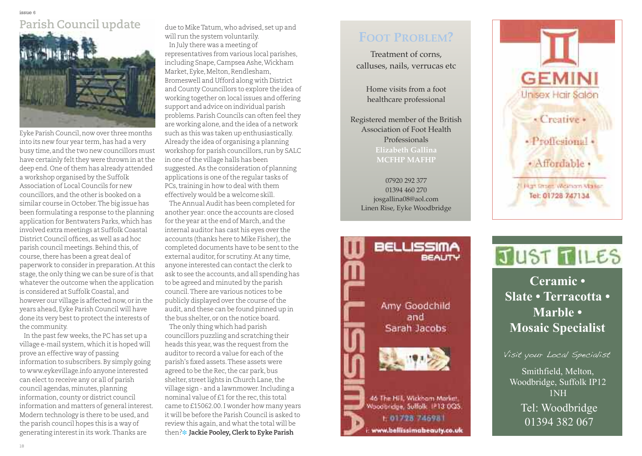# **Parish Council update**

Eyke Parish Council,now over three months into its new four year term, has had a very busy time, and the two new councillors must have certainly felt they were thrown in at the deep end. One of them has already attended a workshop organised by the Suffolk Association of Local Councils for new councillors, and the other is booked on a similar course in October.The big issue has been formulating a response to the planning application for Bentwaters Parks, which has involved extra meetings at Suffolk Coastal District Council offices, as well as ad hoc parish council meetings.Behind this, of course, there has been a great deal of paperwork to consider in preparation.Atthis stage, the only thing we can be sure of is that whatever the outcome when the application is considered at Suffolk Coastal, and however our village is affected now, or in the years ahead, Eyke Parish Council will have done its very best to protect the interests of the community.

In the past few weeks, the PC has set up a village e-mail system, which it is hoped will prove an effective way of passing information to subscribers.By simply going to www.eykevillage.info anyone interested can elect to receive any or all of parish council agendas, minutes, planning information, county or district council information and matters of general interest. Modern technology is there to be used, and the parish council hopes this is a way of generating interestin its work.Thanks are

due to MikeTatum, who advised, set up and will run the system voluntarily. In July there was a meeting of representatives from various local parishes, including Snape,Campsea Ashe,Wickham Market, Eyke, Melton, Rendlesham, Bromeswell and Ufford along with District and County Councillors to explore the idea of working together on local issues and offering support and advice on individual parish problems. Parish Councils can often feel they are working alone, and the idea of a network such as this was taken up enthusiastically. Already the idea of organising a planning workshop for parish councillors, run by SALC in one of the village halls has been suggested.As the consideration of planning applications is one of the regular tasks of PCs,training in how to deal with them effectively would be a welcome skill.

The Annual Audit has been completed for another year: once the accounts are closed for the year at the end of March, and the internal auditor has cast his eyes over the accounts (thanks here to Mike Fisher), the completed documents have to be sent to the external auditor, for scrutiny. At any time, anyone interested can contact the clerk to ask to see the accounts, and all spending has to be agreed and minuted by the parish council.There are various notices to be publicly displayed over the course of the audit, and these can be found pinned up in the bus shelter, or on the notice board.

The only thing which had parish councillors puzzling and scratching their heads this year, was the request from the auditor to record a value for each of the parish's fixed assets.These assets were agreed to be the Rec, the car park, bus shelter, street lights in Church Lane, the village sign - and a lawnmower.Including a nominal value of £1 for the rec,this total came to £15062.00.I wonder how many years it will be before the Parish Council is asked to review this again, and what the total will be then?**❉ Jackie Pooley,Clerk to Eyke Parish**

#### **Foot problem?**

Treatment of corns, calluses, nails, verrucas etc

Home visits from a foot healthcare professional

Registered member of the British Association of Foot Health Professionals **elizabeth Gallina mCFHp mAFHp**

07920 292 377 01394 460 270 josgallina08@aol.com Linen Rise, Eyke Woodbridge







## JUST TILES

Mosaic Specialist **Mosaic Specialist Ceramic • Slate • Terracotta • Marble •**

Visit your Local Specialist

Smithfield, Melton, Woodbridge, Suffolk IP12 how much you can save! 1NH Tel: Woodbridge 01394 382 067